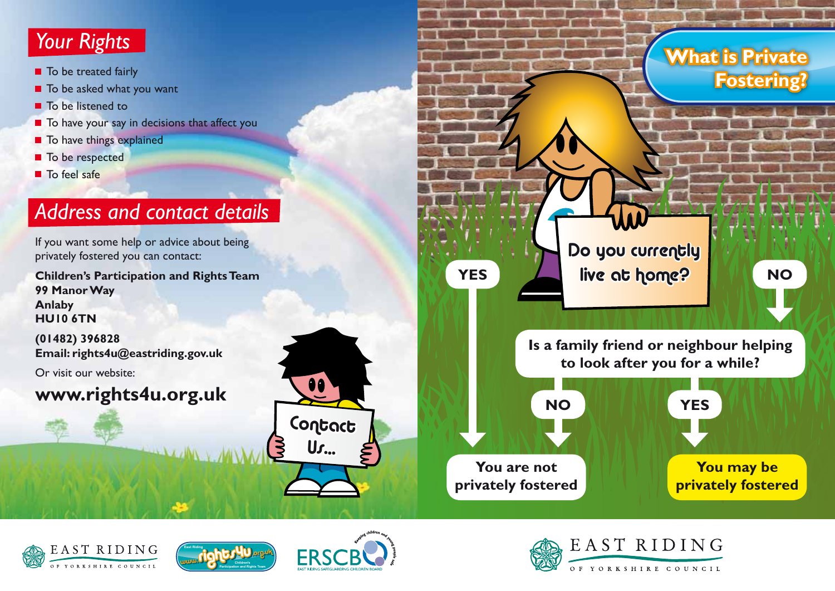# *Your Rights*

- To be treated fairly
- $\blacksquare$  To be asked what you want
- To be listened to
- To have your say in decisions that affect you
- $\blacksquare$  To have things explained
- To be respected
- To feel safe

# *Address and contact details*

If you want some help or advice about being privately fostered you can contact:

**Children's Participation and Rights Team 99 Manor Way Anlaby HU10 6TN**

**(01482) 396828 Email: rights4u@eastriding.gov.uk**

Or visit our website:

### **www.rights4u.org.uk**









Contact

 $\bullet\bullet$ 

Us...